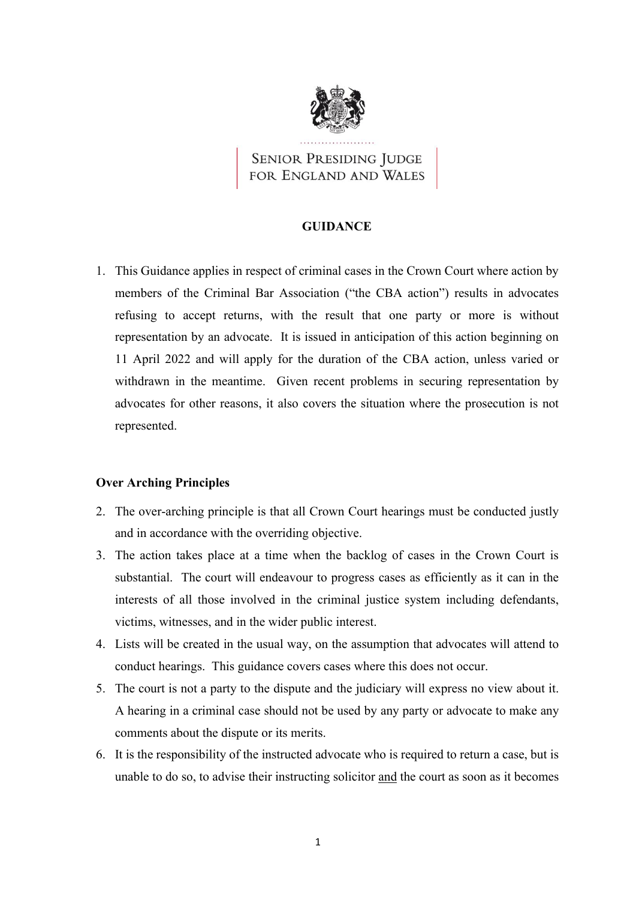

**SENIOR PRESIDING JUDGE** FOR ENGLAND AND WALES

## **GUIDANCE**

1. This Guidance applies in respect of criminal cases in the Crown Court where action by members of the Criminal Bar Association ("the CBA action") results in advocates refusing to accept returns, with the result that one party or more is without representation by an advocate. It is issued in anticipation of this action beginning on 11 April 2022 and will apply for the duration of the CBA action, unless varied or withdrawn in the meantime. Given recent problems in securing representation by advocates for other reasons, it also covers the situation where the prosecution is not represented.

# **Over Arching Principles**

- 2. The over-arching principle is that all Crown Court hearings must be conducted justly and in accordance with the overriding objective.
- 3. The action takes place at a time when the backlog of cases in the Crown Court is substantial. The court will endeavour to progress cases as efficiently as it can in the interests of all those involved in the criminal justice system including defendants, victims, witnesses, and in the wider public interest.
- 4. Lists will be created in the usual way, on the assumption that advocates will attend to conduct hearings. This guidance covers cases where this does not occur.
- 5. The court is not a party to the dispute and the judiciary will express no view about it. A hearing in a criminal case should not be used by any party or advocate to make any comments about the dispute or its merits.
- 6. It is the responsibility of the instructed advocate who is required to return a case, but is unable to do so, to advise their instructing solicitor and the court as soon as it becomes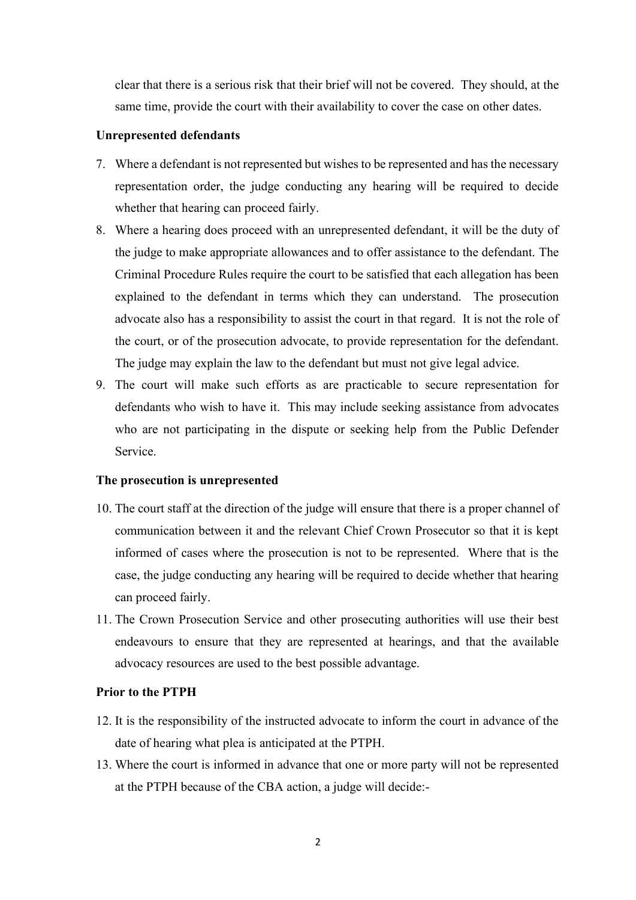clear that there is a serious risk that their brief will not be covered. They should, at the same time, provide the court with their availability to cover the case on other dates.

### **Unrepresented defendants**

- 7. Where a defendant is not represented but wishes to be represented and has the necessary representation order, the judge conducting any hearing will be required to decide whether that hearing can proceed fairly.
- 8. Where a hearing does proceed with an unrepresented defendant, it will be the duty of the judge to make appropriate allowances and to offer assistance to the defendant. The Criminal Procedure Rules require the court to be satisfied that each allegation has been explained to the defendant in terms which they can understand. The prosecution advocate also has a responsibility to assist the court in that regard. It is not the role of the court, or of the prosecution advocate, to provide representation for the defendant. The judge may explain the law to the defendant but must not give legal advice.
- 9. The court will make such efforts as are practicable to secure representation for defendants who wish to have it. This may include seeking assistance from advocates who are not participating in the dispute or seeking help from the Public Defender Service.

#### **The prosecution is unrepresented**

- 10. The court staff at the direction of the judge will ensure that there is a proper channel of communication between it and the relevant Chief Crown Prosecutor so that it is kept informed of cases where the prosecution is not to be represented. Where that is the case, the judge conducting any hearing will be required to decide whether that hearing can proceed fairly.
- 11. The Crown Prosecution Service and other prosecuting authorities will use their best endeavours to ensure that they are represented at hearings, and that the available advocacy resources are used to the best possible advantage.

#### **Prior to the PTPH**

- 12. It is the responsibility of the instructed advocate to inform the court in advance of the date of hearing what plea is anticipated at the PTPH.
- 13. Where the court is informed in advance that one or more party will not be represented at the PTPH because of the CBA action, a judge will decide:-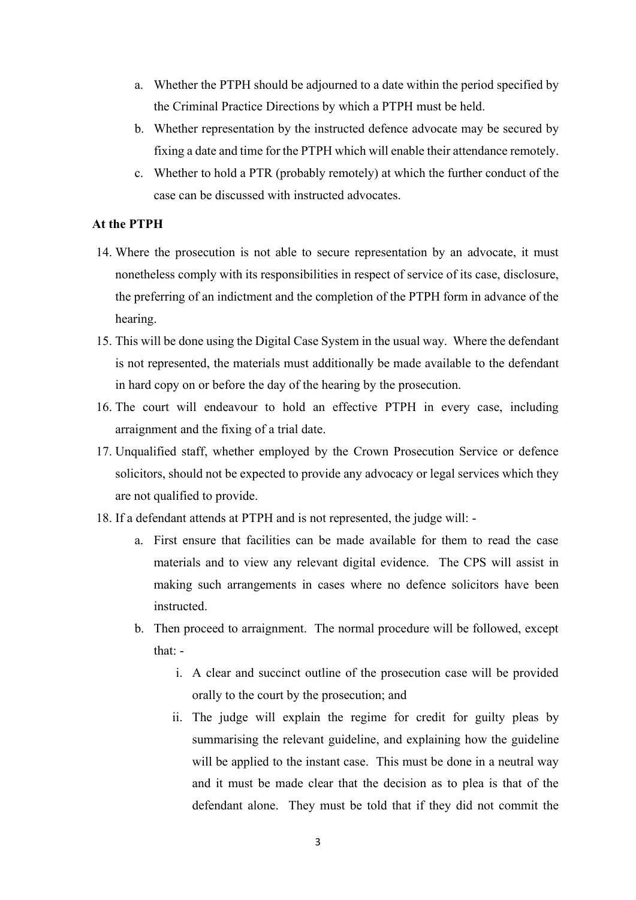- a. Whether the PTPH should be adjourned to a date within the period specified by the Criminal Practice Directions by which a PTPH must be held.
- b. Whether representation by the instructed defence advocate may be secured by fixing a date and time for the PTPH which will enable their attendance remotely.
- c. Whether to hold a PTR (probably remotely) at which the further conduct of the case can be discussed with instructed advocates.

# **At the PTPH**

- 14. Where the prosecution is not able to secure representation by an advocate, it must nonetheless comply with its responsibilities in respect of service of its case, disclosure, the preferring of an indictment and the completion of the PTPH form in advance of the hearing.
- 15. This will be done using the Digital Case System in the usual way. Where the defendant is not represented, the materials must additionally be made available to the defendant in hard copy on or before the day of the hearing by the prosecution.
- 16. The court will endeavour to hold an effective PTPH in every case, including arraignment and the fixing of a trial date.
- 17. Unqualified staff, whether employed by the Crown Prosecution Service or defence solicitors, should not be expected to provide any advocacy or legal services which they are not qualified to provide.
- 18. If a defendant attends at PTPH and is not represented, the judge will:
	- a. First ensure that facilities can be made available for them to read the case materials and to view any relevant digital evidence. The CPS will assist in making such arrangements in cases where no defence solicitors have been instructed.
	- b. Then proceed to arraignment. The normal procedure will be followed, except that:
		- i. A clear and succinct outline of the prosecution case will be provided orally to the court by the prosecution; and
		- ii. The judge will explain the regime for credit for guilty pleas by summarising the relevant guideline, and explaining how the guideline will be applied to the instant case. This must be done in a neutral way and it must be made clear that the decision as to plea is that of the defendant alone. They must be told that if they did not commit the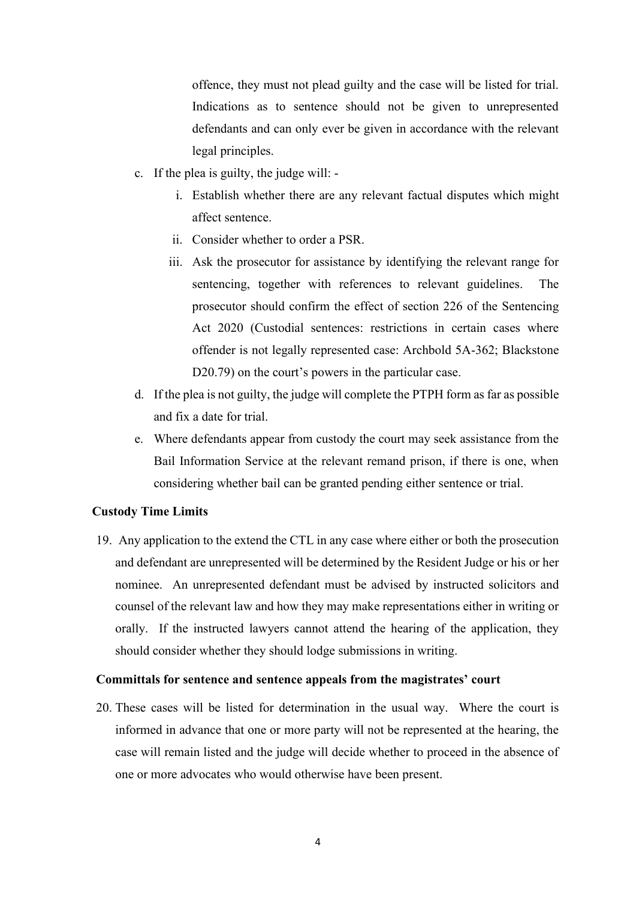offence, they must not plead guilty and the case will be listed for trial. Indications as to sentence should not be given to unrepresented defendants and can only ever be given in accordance with the relevant legal principles.

- c. If the plea is guilty, the judge will:
	- i. Establish whether there are any relevant factual disputes which might affect sentence.
	- ii. Consider whether to order a PSR.
	- iii. Ask the prosecutor for assistance by identifying the relevant range for sentencing, together with references to relevant guidelines. The prosecutor should confirm the effect of section 226 of the Sentencing Act 2020 (Custodial sentences: restrictions in certain cases where offender is not legally represented case: Archbold 5A-362; Blackstone D20.79) on the court's powers in the particular case.
- d. If the plea is not guilty, the judge will complete the PTPH form as far as possible and fix a date for trial.
- e. Where defendants appear from custody the court may seek assistance from the Bail Information Service at the relevant remand prison, if there is one, when considering whether bail can be granted pending either sentence or trial.

# **Custody Time Limits**

19. Any application to the extend the CTL in any case where either or both the prosecution and defendant are unrepresented will be determined by the Resident Judge or his or her nominee. An unrepresented defendant must be advised by instructed solicitors and counsel of the relevant law and how they may make representations either in writing or orally. If the instructed lawyers cannot attend the hearing of the application, they should consider whether they should lodge submissions in writing.

### **Committals for sentence and sentence appeals from the magistrates' court**

20. These cases will be listed for determination in the usual way. Where the court is informed in advance that one or more party will not be represented at the hearing, the case will remain listed and the judge will decide whether to proceed in the absence of one or more advocates who would otherwise have been present.